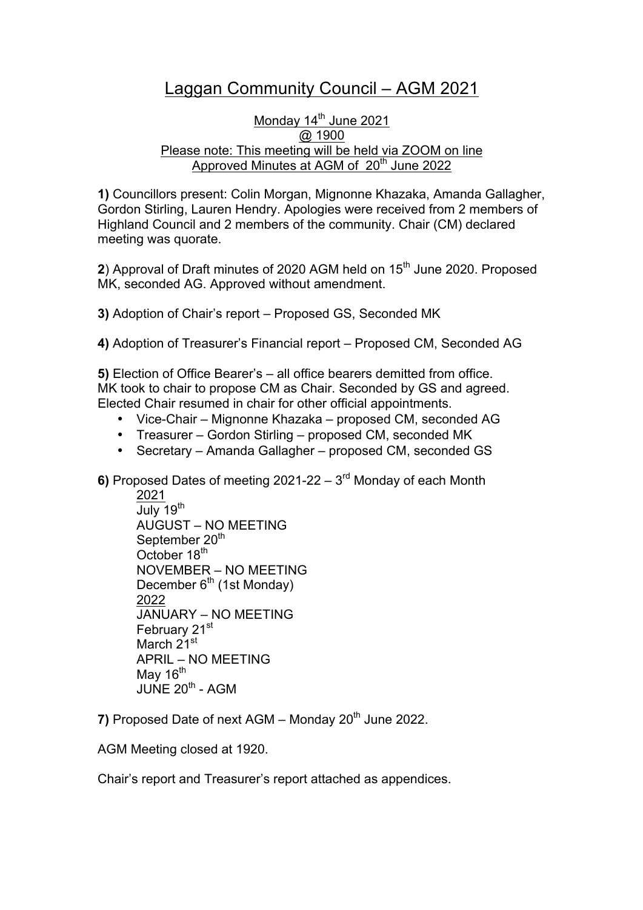# Laggan Community Council – AGM 2021

## Monday 14<sup>th</sup> June 2021 @ 1900 Please note: This meeting will be held via ZOOM on line Approved Minutes at AGM of 20<sup>th</sup> June 2022

**1)** Councillors present: Colin Morgan, Mignonne Khazaka, Amanda Gallagher, Gordon Stirling, Lauren Hendry. Apologies were received from 2 members of Highland Council and 2 members of the community. Chair (CM) declared meeting was quorate.

**2**) Approval of Draft minutes of 2020 AGM held on 15<sup>th</sup> June 2020. Proposed MK, seconded AG. Approved without amendment.

**3)** Adoption of Chair's report – Proposed GS, Seconded MK

**4)** Adoption of Treasurer's Financial report – Proposed CM, Seconded AG

**5)** Election of Office Bearer's – all office bearers demitted from office. MK took to chair to propose CM as Chair. Seconded by GS and agreed. Elected Chair resumed in chair for other official appointments.

- Vice-Chair Mignonne Khazaka proposed CM, seconded AG
- Treasurer Gordon Stirling proposed CM, seconded MK
- Secretary Amanda Gallagher proposed CM, seconded GS

**6)** Proposed Dates of meeting 2021-22 – 3rd Monday of each Month

2021 July 19<sup>th</sup> AUGUST – NO MEETING September 20<sup>th</sup> October 18<sup>th</sup> NOVEMBER – NO MEETING December  $6<sup>th</sup>$  (1st Monday) 2022 JANUARY – NO MEETING February 21<sup>st</sup> March 21<sup>st</sup> APRIL – NO MEETING May  $16^{th}$ JUNE  $20^{th}$  - AGM

**7)** Proposed Date of next AGM – Monday 20<sup>th</sup> June 2022.

AGM Meeting closed at 1920.

Chair's report and Treasurer's report attached as appendices.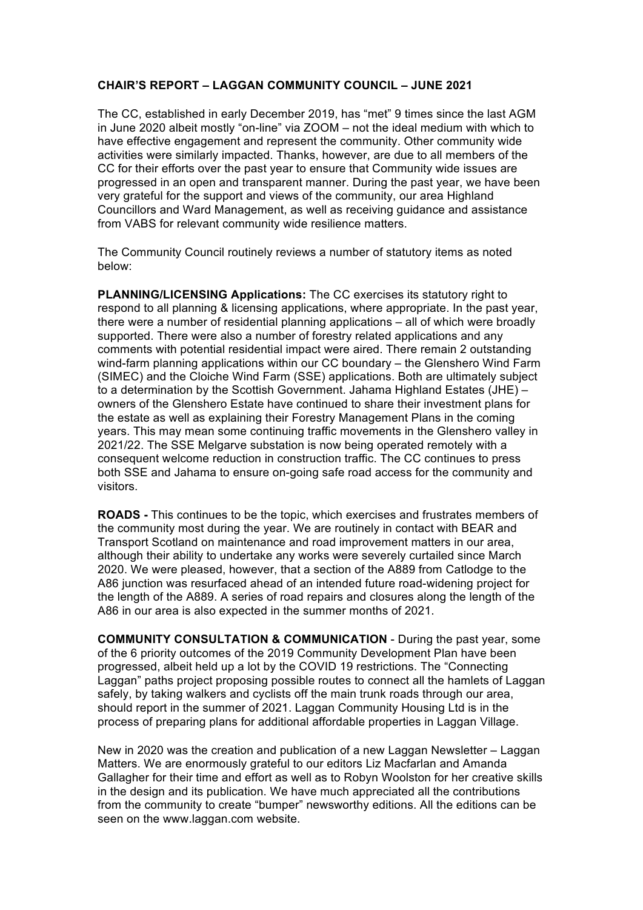#### **CHAIR'S REPORT – LAGGAN COMMUNITY COUNCIL – JUNE 2021**

The CC, established in early December 2019, has "met" 9 times since the last AGM in June 2020 albeit mostly "on-line" via ZOOM – not the ideal medium with which to have effective engagement and represent the community. Other community wide activities were similarly impacted. Thanks, however, are due to all members of the CC for their efforts over the past year to ensure that Community wide issues are progressed in an open and transparent manner. During the past year, we have been very grateful for the support and views of the community, our area Highland Councillors and Ward Management, as well as receiving guidance and assistance from VABS for relevant community wide resilience matters.

The Community Council routinely reviews a number of statutory items as noted below:

**PLANNING/LICENSING Applications:** The CC exercises its statutory right to respond to all planning & licensing applications, where appropriate. In the past year, there were a number of residential planning applications – all of which were broadly supported. There were also a number of forestry related applications and any comments with potential residential impact were aired. There remain 2 outstanding wind-farm planning applications within our CC boundary – the Glenshero Wind Farm (SIMEC) and the Cloiche Wind Farm (SSE) applications. Both are ultimately subject to a determination by the Scottish Government. Jahama Highland Estates (JHE) – owners of the Glenshero Estate have continued to share their investment plans for the estate as well as explaining their Forestry Management Plans in the coming years. This may mean some continuing traffic movements in the Glenshero valley in 2021/22. The SSE Melgarve substation is now being operated remotely with a consequent welcome reduction in construction traffic. The CC continues to press both SSE and Jahama to ensure on-going safe road access for the community and visitors.

**ROADS -** This continues to be the topic, which exercises and frustrates members of the community most during the year. We are routinely in contact with BEAR and Transport Scotland on maintenance and road improvement matters in our area, although their ability to undertake any works were severely curtailed since March 2020. We were pleased, however, that a section of the A889 from Catlodge to the A86 junction was resurfaced ahead of an intended future road-widening project for the length of the A889. A series of road repairs and closures along the length of the A86 in our area is also expected in the summer months of 2021.

**COMMUNITY CONSULTATION & COMMUNICATION** - During the past year, some of the 6 priority outcomes of the 2019 Community Development Plan have been progressed, albeit held up a lot by the COVID 19 restrictions. The "Connecting Laggan" paths project proposing possible routes to connect all the hamlets of Laggan safely, by taking walkers and cyclists off the main trunk roads through our area, should report in the summer of 2021. Laggan Community Housing Ltd is in the process of preparing plans for additional affordable properties in Laggan Village.

New in 2020 was the creation and publication of a new Laggan Newsletter – Laggan Matters. We are enormously grateful to our editors Liz Macfarlan and Amanda Gallagher for their time and effort as well as to Robyn Woolston for her creative skills in the design and its publication. We have much appreciated all the contributions from the community to create "bumper" newsworthy editions. All the editions can be seen on the www.laggan.com website.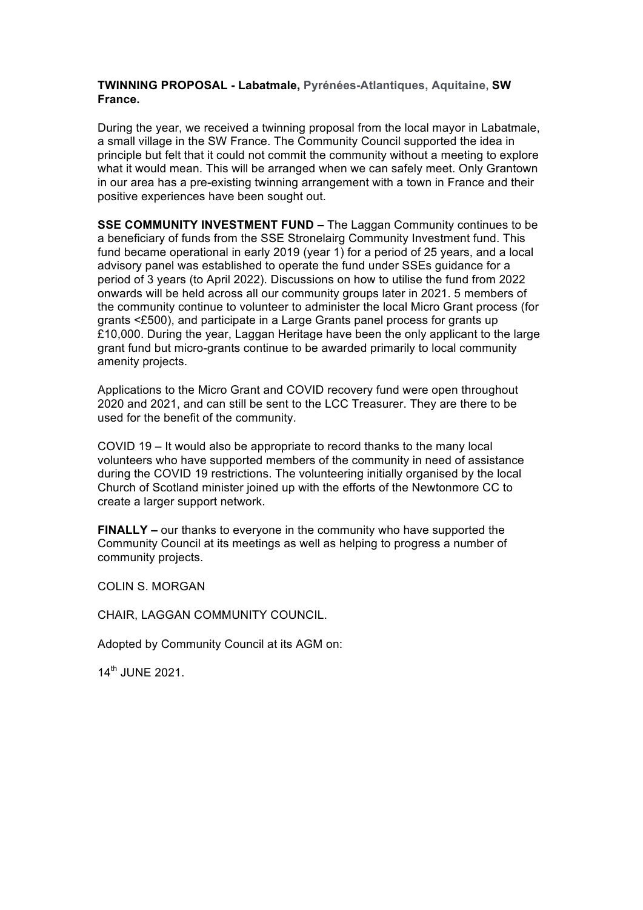#### **TWINNING PROPOSAL - Labatmale, Pyrénées-Atlantiques, Aquitaine, SW France.**

During the year, we received a twinning proposal from the local mayor in Labatmale, a small village in the SW France. The Community Council supported the idea in principle but felt that it could not commit the community without a meeting to explore what it would mean. This will be arranged when we can safely meet. Only Grantown in our area has a pre-existing twinning arrangement with a town in France and their positive experiences have been sought out.

**SSE COMMUNITY INVESTMENT FUND –** The Laggan Community continues to be a beneficiary of funds from the SSE Stronelairg Community Investment fund. This fund became operational in early 2019 (year 1) for a period of 25 years, and a local advisory panel was established to operate the fund under SSEs guidance for a period of 3 years (to April 2022). Discussions on how to utilise the fund from 2022 onwards will be held across all our community groups later in 2021. 5 members of the community continue to volunteer to administer the local Micro Grant process (for grants <£500), and participate in a Large Grants panel process for grants up £10,000. During the year, Laggan Heritage have been the only applicant to the large grant fund but micro-grants continue to be awarded primarily to local community amenity projects.

Applications to the Micro Grant and COVID recovery fund were open throughout 2020 and 2021, and can still be sent to the LCC Treasurer. They are there to be used for the benefit of the community.

COVID 19 – It would also be appropriate to record thanks to the many local volunteers who have supported members of the community in need of assistance during the COVID 19 restrictions. The volunteering initially organised by the local Church of Scotland minister joined up with the efforts of the Newtonmore CC to create a larger support network.

**FINALLY –** our thanks to everyone in the community who have supported the Community Council at its meetings as well as helping to progress a number of community projects.

COLIN S. MORGAN

CHAIR, LAGGAN COMMUNITY COUNCIL.

Adopted by Community Council at its AGM on:

14th JUNE 2021.